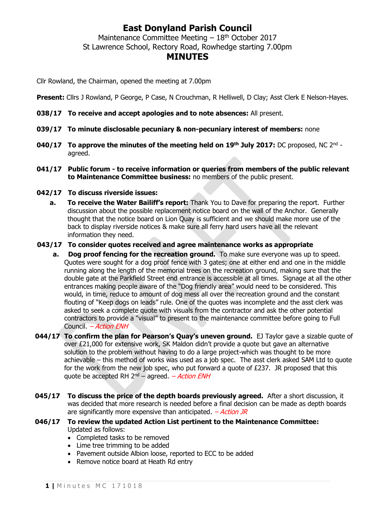## **East Donyland Parish Council**

Maintenance Committee Meeting  $-18<sup>th</sup>$  October 2017 St Lawrence School, Rectory Road, Rowhedge starting 7.00pm

## **MINUTES**

Cllr Rowland, the Chairman, opened the meeting at 7.00pm

**Present:** Cllrs J Rowland, P George, P Case, N Crouchman, R Helliwell, D Clay; Asst Clerk E Nelson-Hayes.

- **038/17 To receive and accept apologies and to note absences:** All present.
- **039/17 To minute disclosable pecuniary & non-pecuniary interest of members:** none
- **040/17 To approve the minutes of the meeting held on 19th July 2017:** DC proposed, NC 2 nd agreed.
- **041/17 Public forum - to receive information or queries from members of the public relevant to Maintenance Committee business:** no members of the public present.
- **042/17 To discuss riverside issues:**
	- **a. To receive the Water Bailiff's report:** Thank You to Dave for preparing the report.Further discussion about the possible replacement notice board on the wall of the Anchor. Generally thought that the notice board on Lion Quay is sufficient and we should make more use of the back to display riverside notices & make sure all ferry hard users have all the relevant information they need.

## **043/17 To consider quotes received and agree maintenance works as appropriate**

- **a. Dog proof fencing for the recreation ground.** To make sure everyone was up to speed. Quotes were sought for a dog proof fence with 3 gates; one at either end and one in the middle running along the length of the memorial trees on the recreation ground, making sure that the double gate at the Parkfield Street end entrance is accessible at all times. Signage at all the other entrances making people aware of the "Dog friendly area" would need to be considered. This would, in time, reduce to amount of dog mess all over the recreation ground and the constant flouting of "Keep dogs on leads" rule. One of the quotes was incomplete and the asst clerk was asked to seek a complete quote with visuals from the contractor and ask the other potential contractors to provide a "visual" to present to the maintenance committee before going to Full Council. – Action ENH
- **044/17 To confirm the plan for Pearson's Quay's uneven ground.** EJ Taylor gave a sizable quote of over £21,000 for extensive work, SK Maldon didn't provide a quote but gave an alternative solution to the problem without having to do a large project-which was thought to be more achievable – this method of works was used as a job spec. The asst clerk asked SAM Ltd to quote for the work from the new job spec, who put forward a quote of £237. JR proposed that this quote be accepted RH  $2^{nd}$  – agreed. – Action ENH
- **045/17 To discuss the price of the depth boards previously agreed.** After a short discussion, it was decided that more research is needed before a final decision can be made as depth boards are significantly more expensive than anticipated.  $-Action$  JR
- **046/17 To review the updated Action List pertinent to the Maintenance Committee:** Updated as follows:
	- Completed tasks to be removed
	- Lime tree trimming to be added
	- Pavement outside Albion loose, reported to ECC to be added
	- Remove notice board at Heath Rd entry